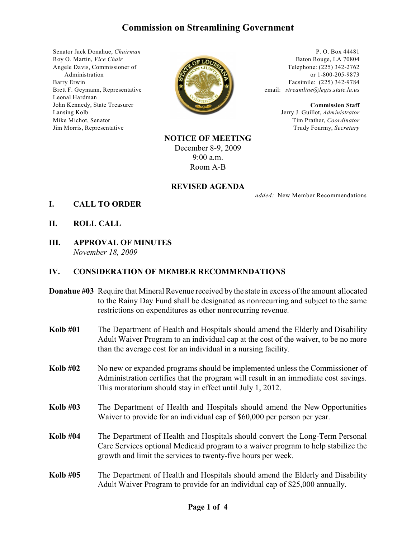# **Commission on Streamlining Government**

Senator Jack Donahue, *Chairman* Roy O. Martin, *Vice Chair* Angele Davis, Commissioner of Administration Barry Erwin Brett F. Geymann, Representative Leonal Hardman John Kennedy, State Treasurer Lansing Kolb Mike Michot, Senator Jim Morris, Representative



P. O. Box 44481 Baton Rouge, LA 70804 Telephone: (225) 342-2762 or 1-800-205-9873 Facsimile: (225) 342-9784 email: *streamline@legis.state.la.us*

> **Commission Staff** Jerry J. Guillot, *Administrator* Tim Prather, *Coordinator* Trudy Fourmy, *Secretary*

# **NOTICE OF MEETING** December 8-9, 2009 9:00 a.m. Room A-B

#### **REVISED AGENDA**

*added:* New Member Recommendations

- **I. CALL TO ORDER**
- **II. ROLL CALL**
- **III. APPROVAL OF MINUTES** *November 18, 2009*

# **IV. CONSIDERATION OF MEMBER RECOMMENDATIONS**

- **Donahue #03** Require that Mineral Revenue received by the state in excess of the amount allocated to the Rainy Day Fund shall be designated as nonrecurring and subject to the same restrictions on expenditures as other nonrecurring revenue.
- **Kolb #01** The Department of Health and Hospitals should amend the Elderly and Disability Adult Waiver Program to an individual cap at the cost of the waiver, to be no more than the average cost for an individual in a nursing facility.
- **Kolb #02** No new or expanded programs should be implemented unless the Commissioner of Administration certifies that the program will result in an immediate cost savings. This moratorium should stay in effect until July 1, 2012.
- **Kolb #03** The Department of Health and Hospitals should amend the New Opportunities Waiver to provide for an individual cap of \$60,000 per person per year.
- **Kolb #04** The Department of Health and Hospitals should convert the Long-Term Personal Care Services optional Medicaid program to a waiver program to help stabilize the growth and limit the services to twenty-five hours per week.
- **Kolb #05** The Department of Health and Hospitals should amend the Elderly and Disability Adult Waiver Program to provide for an individual cap of \$25,000 annually.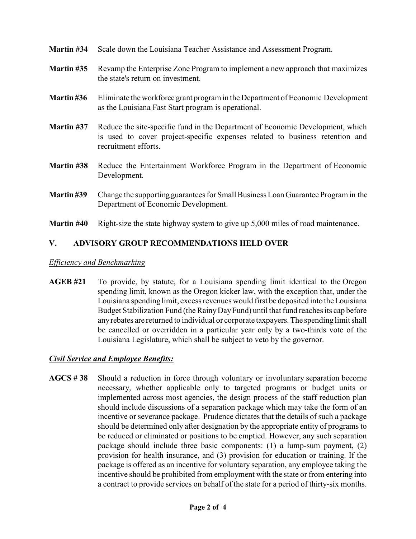- **Martin #34** Scale down the Louisiana Teacher Assistance and Assessment Program.
- **Martin #35** Revamp the Enterprise Zone Program to implement a new approach that maximizes the state's return on investment.
- **Martin #36** Eliminate the workforce grant program in the Department of Economic Development as the Louisiana Fast Start program is operational.
- **Martin #37** Reduce the site-specific fund in the Department of Economic Development, which is used to cover project-specific expenses related to business retention and recruitment efforts.
- **Martin #38** Reduce the Entertainment Workforce Program in the Department of Economic Development.
- **Martin #39** Change the supporting guarantees for Small Business Loan Guarantee Program in the Department of Economic Development.
- **Martin #40** Right-size the state highway system to give up 5,000 miles of road maintenance.

# **V. ADVISORY GROUP RECOMMENDATIONS HELD OVER**

#### *Efficiency and Benchmarking*

**AGEB #21** To provide, by statute, for a Louisiana spending limit identical to the Oregon spending limit, known as the Oregon kicker law, with the exception that, under the Louisiana spending limit, excess revenues would first be deposited into the Louisiana Budget Stabilization Fund (the Rainy DayFund) until that fund reaches its cap before any rebates are returned to individual or corporate taxpayers. The spending limit shall be cancelled or overridden in a particular year only by a two-thirds vote of the Louisiana Legislature, which shall be subject to veto by the governor.

# *Civil Service and Employee Benefits:*

**AGCS # 38** Should a reduction in force through voluntary or involuntary separation become necessary, whether applicable only to targeted programs or budget units or implemented across most agencies, the design process of the staff reduction plan should include discussions of a separation package which may take the form of an incentive or severance package. Prudence dictates that the details of such a package should be determined only after designation by the appropriate entity of programs to be reduced or eliminated or positions to be emptied. However, any such separation package should include three basic components: (1) a lump-sum payment, (2) provision for health insurance, and (3) provision for education or training. If the package is offered as an incentive for voluntary separation, any employee taking the incentive should be prohibited from employment with the state or from entering into a contract to provide services on behalf of the state for a period of thirty-six months.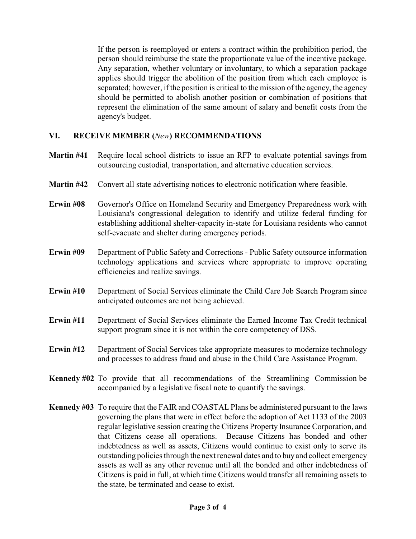If the person is reemployed or enters a contract within the prohibition period, the person should reimburse the state the proportionate value of the incentive package. Any separation, whether voluntary or involuntary, to which a separation package applies should trigger the abolition of the position from which each employee is separated; however, if the position is critical to the mission of the agency, the agency should be permitted to abolish another position or combination of positions that represent the elimination of the same amount of salary and benefit costs from the agency's budget.

# **VI. RECEIVE MEMBER (***New***) RECOMMENDATIONS**

- **Martin #41** Require local school districts to issue an RFP to evaluate potential savings from outsourcing custodial, transportation, and alternative education services.
- **Martin #42** Convert all state advertising notices to electronic notification where feasible.
- **Erwin #08** Governor's Office on Homeland Security and Emergency Preparedness work with Louisiana's congressional delegation to identify and utilize federal funding for establishing additional shelter-capacity in-state for Louisiana residents who cannot self-evacuate and shelter during emergency periods.
- **Erwin #09** Department of Public Safety and Corrections Public Safety outsource information technology applications and services where appropriate to improve operating efficiencies and realize savings.
- **Erwin #10** Department of Social Services eliminate the Child Care Job Search Program since anticipated outcomes are not being achieved.
- **Erwin #11** Department of Social Services eliminate the Earned Income Tax Credit technical support program since it is not within the core competency of DSS.
- **Erwin #12** Department of Social Services take appropriate measures to modernize technology and processes to address fraud and abuse in the Child Care Assistance Program.
- **Kennedy #02** To provide that all recommendations of the Streamlining Commission be accompanied by a legislative fiscal note to quantify the savings.
- **Kennedy #03** To require that the FAIR and COASTAL Plans be administered pursuant to the laws governing the plans that were in effect before the adoption of Act 1133 of the 2003 regular legislative session creating the Citizens Property Insurance Corporation, and that Citizens cease all operations. Because Citizens has bonded and other indebtedness as well as assets, Citizens would continue to exist only to serve its outstanding policies through the next renewal dates and to buy and collect emergency assets as well as any other revenue until all the bonded and other indebtedness of Citizens is paid in full, at which time Citizens would transfer all remaining assets to the state, be terminated and cease to exist.